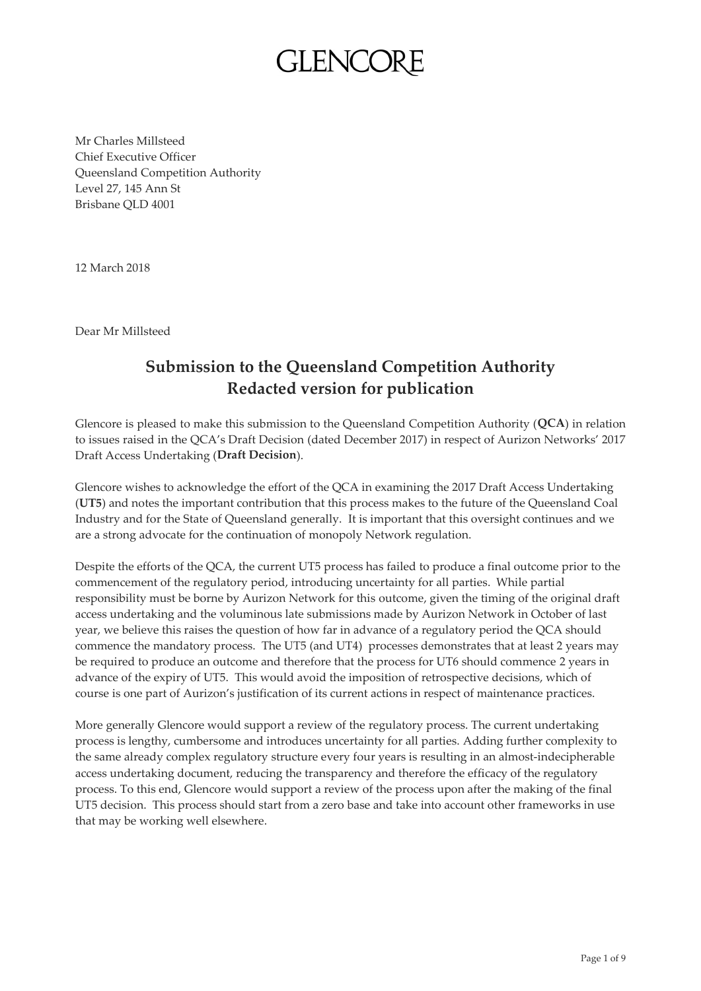Mr Charles Millsteed Chief Executive Officer Queensland Competition Authority Level 27, 145 Ann St Brisbane QLD 4001

12 March 2018

Dear Mr Millsteed

### **Submission to the Queensland Competition Authority Redacted version for publication**

Glencore is pleased to make this submission to the Queensland Competition Authority (**QCA**) in relation to issues raised in the QCA's Draft Decision (dated December 2017) in respect of Aurizon Networks' 2017 Draft Access Undertaking (**Draft Decision**).

Glencore wishes to acknowledge the effort of the QCA in examining the 2017 Draft Access Undertaking (**UT5**) and notes the important contribution that this process makes to the future of the Queensland Coal Industry and for the State of Queensland generally. It is important that this oversight continues and we are a strong advocate for the continuation of monopoly Network regulation.

Despite the efforts of the QCA, the current UT5 process has failed to produce a final outcome prior to the commencement of the regulatory period, introducing uncertainty for all parties. While partial responsibility must be borne by Aurizon Network for this outcome, given the timing of the original draft access undertaking and the voluminous late submissions made by Aurizon Network in October of last year, we believe this raises the question of how far in advance of a regulatory period the QCA should commence the mandatory process. The UT5 (and UT4) processes demonstrates that at least 2 years may be required to produce an outcome and therefore that the process for UT6 should commence 2 years in advance of the expiry of UT5. This would avoid the imposition of retrospective decisions, which of course is one part of Aurizon's justification of its current actions in respect of maintenance practices.

More generally Glencore would support a review of the regulatory process. The current undertaking process is lengthy, cumbersome and introduces uncertainty for all parties. Adding further complexity to the same already complex regulatory structure every four years is resulting in an almost-indecipherable access undertaking document, reducing the transparency and therefore the efficacy of the regulatory process. To this end, Glencore would support a review of the process upon after the making of the final UT5 decision. This process should start from a zero base and take into account other frameworks in use that may be working well elsewhere.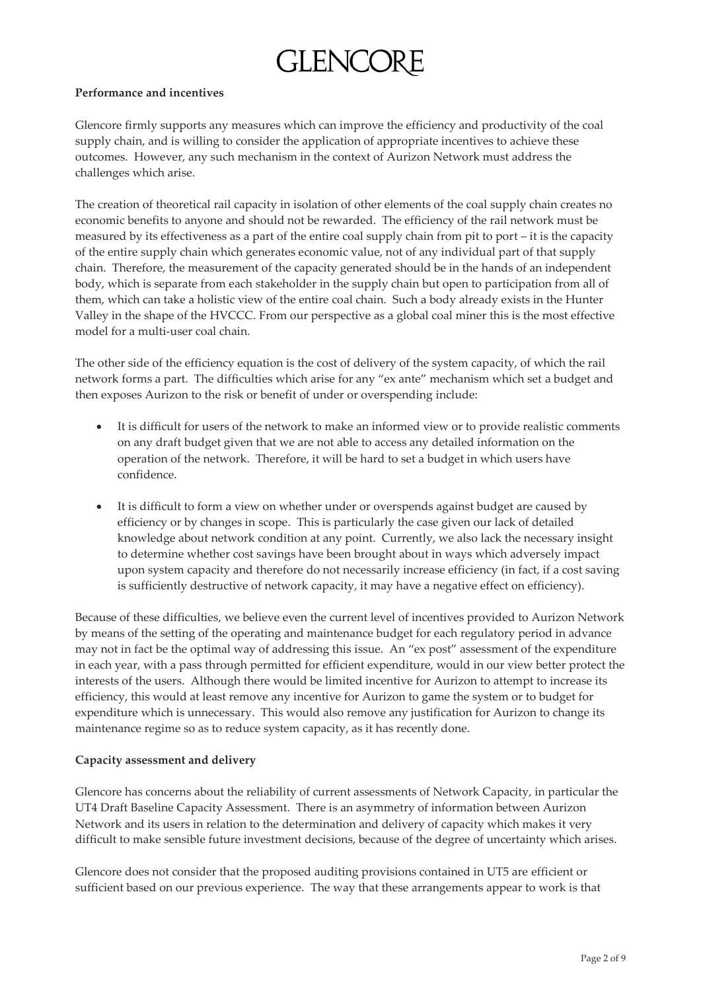#### **Performance and incentives**

Glencore firmly supports any measures which can improve the efficiency and productivity of the coal supply chain, and is willing to consider the application of appropriate incentives to achieve these outcomes. However, any such mechanism in the context of Aurizon Network must address the challenges which arise.

The creation of theoretical rail capacity in isolation of other elements of the coal supply chain creates no economic benefits to anyone and should not be rewarded. The efficiency of the rail network must be measured by its effectiveness as a part of the entire coal supply chain from pit to port – it is the capacity of the entire supply chain which generates economic value, not of any individual part of that supply chain. Therefore, the measurement of the capacity generated should be in the hands of an independent body, which is separate from each stakeholder in the supply chain but open to participation from all of them, which can take a holistic view of the entire coal chain. Such a body already exists in the Hunter Valley in the shape of the HVCCC. From our perspective as a global coal miner this is the most effective model for a multi-user coal chain.

The other side of the efficiency equation is the cost of delivery of the system capacity, of which the rail network forms a part. The difficulties which arise for any "ex ante" mechanism which set a budget and then exposes Aurizon to the risk or benefit of under or overspending include:

- It is difficult for users of the network to make an informed view or to provide realistic comments on any draft budget given that we are not able to access any detailed information on the operation of the network. Therefore, it will be hard to set a budget in which users have confidence.
- It is difficult to form a view on whether under or overspends against budget are caused by efficiency or by changes in scope. This is particularly the case given our lack of detailed knowledge about network condition at any point. Currently, we also lack the necessary insight to determine whether cost savings have been brought about in ways which adversely impact upon system capacity and therefore do not necessarily increase efficiency (in fact, if a cost saving is sufficiently destructive of network capacity, it may have a negative effect on efficiency).

Because of these difficulties, we believe even the current level of incentives provided to Aurizon Network by means of the setting of the operating and maintenance budget for each regulatory period in advance may not in fact be the optimal way of addressing this issue. An "ex post" assessment of the expenditure in each year, with a pass through permitted for efficient expenditure, would in our view better protect the interests of the users. Although there would be limited incentive for Aurizon to attempt to increase its efficiency, this would at least remove any incentive for Aurizon to game the system or to budget for expenditure which is unnecessary. This would also remove any justification for Aurizon to change its maintenance regime so as to reduce system capacity, as it has recently done.

#### **Capacity assessment and delivery**

Glencore has concerns about the reliability of current assessments of Network Capacity, in particular the UT4 Draft Baseline Capacity Assessment. There is an asymmetry of information between Aurizon Network and its users in relation to the determination and delivery of capacity which makes it very difficult to make sensible future investment decisions, because of the degree of uncertainty which arises.

Glencore does not consider that the proposed auditing provisions contained in UT5 are efficient or sufficient based on our previous experience. The way that these arrangements appear to work is that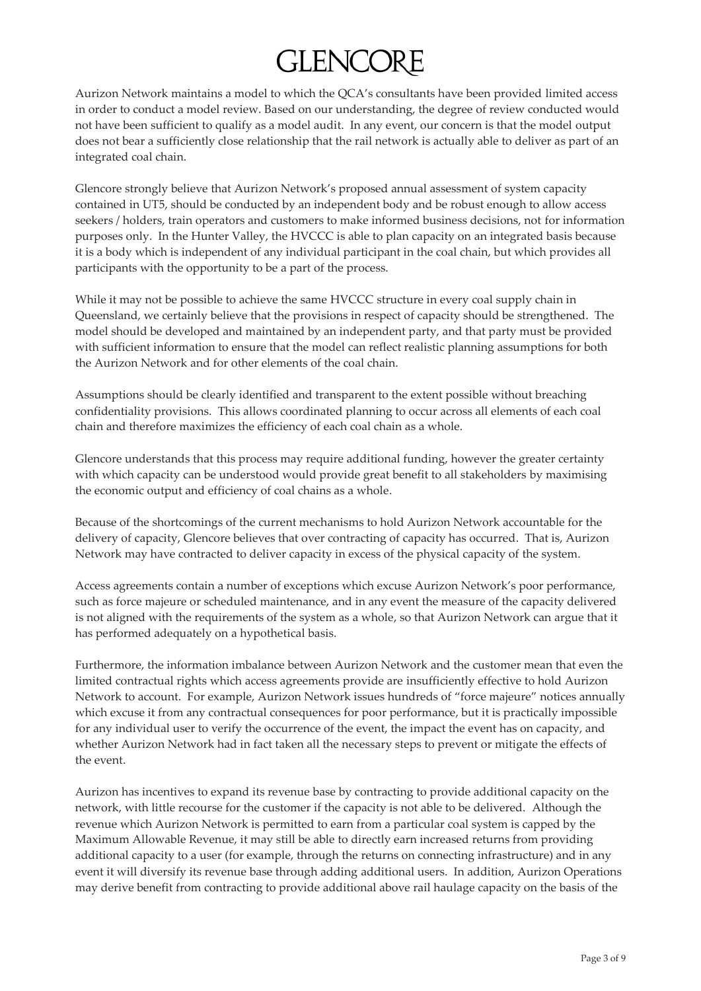Aurizon Network maintains a model to which the QCA's consultants have been provided limited access in order to conduct a model review. Based on our understanding, the degree of review conducted would not have been sufficient to qualify as a model audit. In any event, our concern is that the model output does not bear a sufficiently close relationship that the rail network is actually able to deliver as part of an integrated coal chain.

Glencore strongly believe that Aurizon Network's proposed annual assessment of system capacity contained in UT5, should be conducted by an independent body and be robust enough to allow access seekers / holders, train operators and customers to make informed business decisions, not for information purposes only. In the Hunter Valley, the HVCCC is able to plan capacity on an integrated basis because it is a body which is independent of any individual participant in the coal chain, but which provides all participants with the opportunity to be a part of the process.

While it may not be possible to achieve the same HVCCC structure in every coal supply chain in Queensland, we certainly believe that the provisions in respect of capacity should be strengthened. The model should be developed and maintained by an independent party, and that party must be provided with sufficient information to ensure that the model can reflect realistic planning assumptions for both the Aurizon Network and for other elements of the coal chain.

Assumptions should be clearly identified and transparent to the extent possible without breaching confidentiality provisions. This allows coordinated planning to occur across all elements of each coal chain and therefore maximizes the efficiency of each coal chain as a whole.

Glencore understands that this process may require additional funding, however the greater certainty with which capacity can be understood would provide great benefit to all stakeholders by maximising the economic output and efficiency of coal chains as a whole.

Because of the shortcomings of the current mechanisms to hold Aurizon Network accountable for the delivery of capacity, Glencore believes that over contracting of capacity has occurred. That is, Aurizon Network may have contracted to deliver capacity in excess of the physical capacity of the system.

Access agreements contain a number of exceptions which excuse Aurizon Network's poor performance, such as force majeure or scheduled maintenance, and in any event the measure of the capacity delivered is not aligned with the requirements of the system as a whole, so that Aurizon Network can argue that it has performed adequately on a hypothetical basis.

Furthermore, the information imbalance between Aurizon Network and the customer mean that even the limited contractual rights which access agreements provide are insufficiently effective to hold Aurizon Network to account. For example, Aurizon Network issues hundreds of "force majeure" notices annually which excuse it from any contractual consequences for poor performance, but it is practically impossible for any individual user to verify the occurrence of the event, the impact the event has on capacity, and whether Aurizon Network had in fact taken all the necessary steps to prevent or mitigate the effects of the event.

Aurizon has incentives to expand its revenue base by contracting to provide additional capacity on the network, with little recourse for the customer if the capacity is not able to be delivered. Although the revenue which Aurizon Network is permitted to earn from a particular coal system is capped by the Maximum Allowable Revenue, it may still be able to directly earn increased returns from providing additional capacity to a user (for example, through the returns on connecting infrastructure) and in any event it will diversify its revenue base through adding additional users. In addition, Aurizon Operations may derive benefit from contracting to provide additional above rail haulage capacity on the basis of the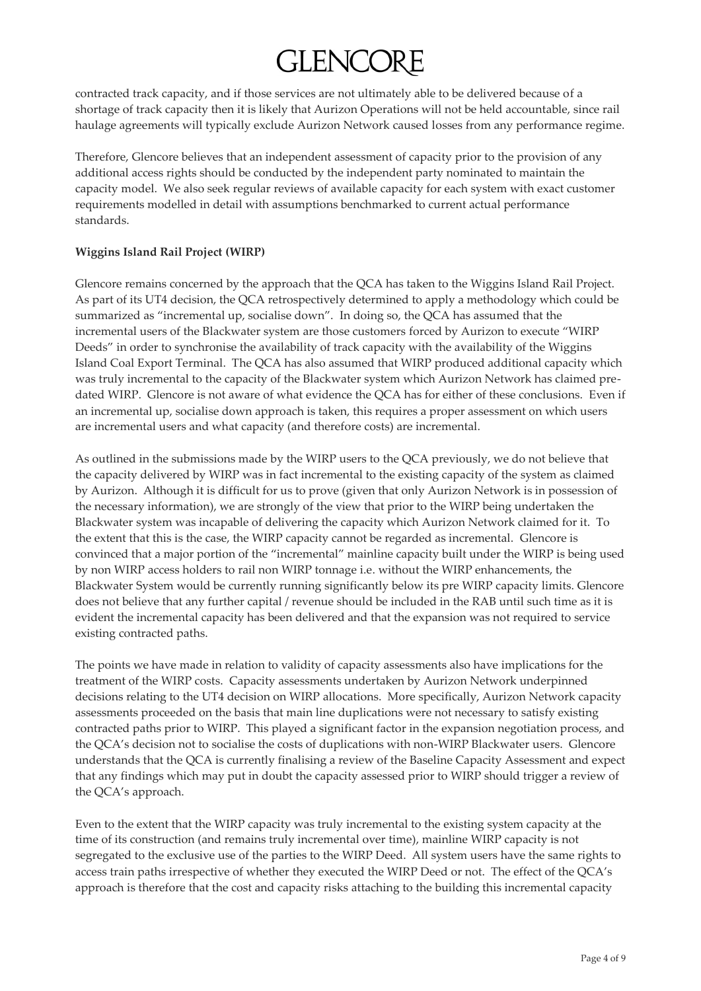contracted track capacity, and if those services are not ultimately able to be delivered because of a shortage of track capacity then it is likely that Aurizon Operations will not be held accountable, since rail haulage agreements will typically exclude Aurizon Network caused losses from any performance regime.

Therefore, Glencore believes that an independent assessment of capacity prior to the provision of any additional access rights should be conducted by the independent party nominated to maintain the capacity model. We also seek regular reviews of available capacity for each system with exact customer requirements modelled in detail with assumptions benchmarked to current actual performance standards.

### **Wiggins Island Rail Project (WIRP)**

Glencore remains concerned by the approach that the QCA has taken to the Wiggins Island Rail Project. As part of its UT4 decision, the QCA retrospectively determined to apply a methodology which could be summarized as "incremental up, socialise down". In doing so, the QCA has assumed that the incremental users of the Blackwater system are those customers forced by Aurizon to execute "WIRP Deeds" in order to synchronise the availability of track capacity with the availability of the Wiggins Island Coal Export Terminal. The QCA has also assumed that WIRP produced additional capacity which was truly incremental to the capacity of the Blackwater system which Aurizon Network has claimed predated WIRP. Glencore is not aware of what evidence the QCA has for either of these conclusions. Even if an incremental up, socialise down approach is taken, this requires a proper assessment on which users are incremental users and what capacity (and therefore costs) are incremental.

As outlined in the submissions made by the WIRP users to the QCA previously, we do not believe that the capacity delivered by WIRP was in fact incremental to the existing capacity of the system as claimed by Aurizon. Although it is difficult for us to prove (given that only Aurizon Network is in possession of the necessary information), we are strongly of the view that prior to the WIRP being undertaken the Blackwater system was incapable of delivering the capacity which Aurizon Network claimed for it. To the extent that this is the case, the WIRP capacity cannot be regarded as incremental. Glencore is convinced that a major portion of the "incremental" mainline capacity built under the WIRP is being used by non WIRP access holders to rail non WIRP tonnage i.e. without the WIRP enhancements, the Blackwater System would be currently running significantly below its pre WIRP capacity limits. Glencore does not believe that any further capital / revenue should be included in the RAB until such time as it is evident the incremental capacity has been delivered and that the expansion was not required to service existing contracted paths.

The points we have made in relation to validity of capacity assessments also have implications for the treatment of the WIRP costs. Capacity assessments undertaken by Aurizon Network underpinned decisions relating to the UT4 decision on WIRP allocations. More specifically, Aurizon Network capacity assessments proceeded on the basis that main line duplications were not necessary to satisfy existing contracted paths prior to WIRP. This played a significant factor in the expansion negotiation process, and the QCA's decision not to socialise the costs of duplications with non-WIRP Blackwater users. Glencore understands that the QCA is currently finalising a review of the Baseline Capacity Assessment and expect that any findings which may put in doubt the capacity assessed prior to WIRP should trigger a review of the QCA's approach.

Even to the extent that the WIRP capacity was truly incremental to the existing system capacity at the time of its construction (and remains truly incremental over time), mainline WIRP capacity is not segregated to the exclusive use of the parties to the WIRP Deed. All system users have the same rights to access train paths irrespective of whether they executed the WIRP Deed or not. The effect of the QCA's approach is therefore that the cost and capacity risks attaching to the building this incremental capacity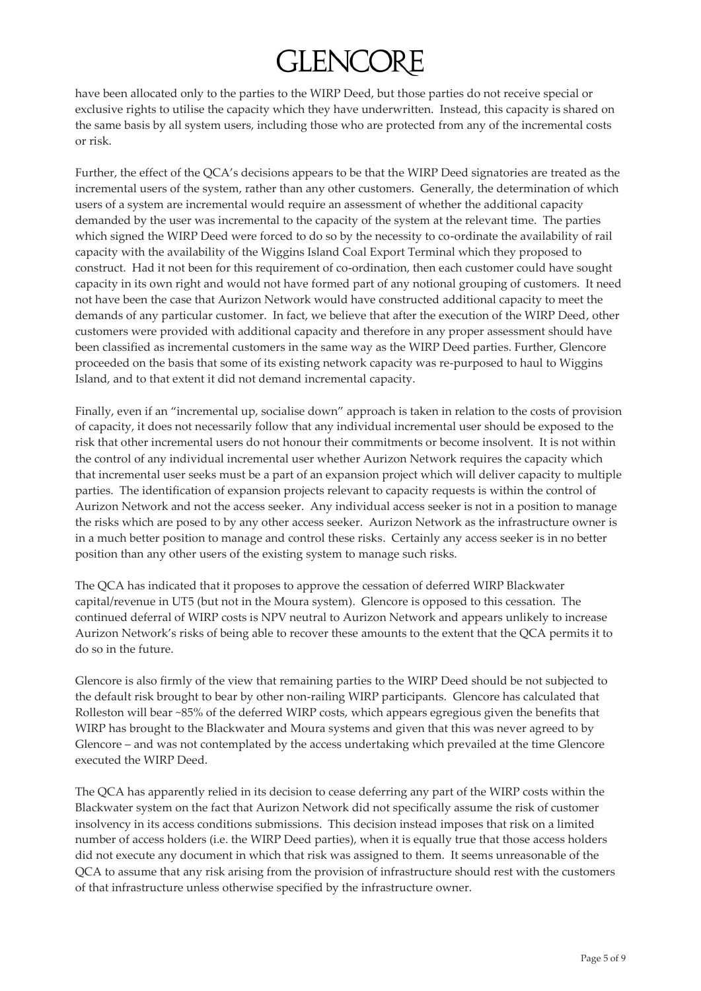have been allocated only to the parties to the WIRP Deed, but those parties do not receive special or exclusive rights to utilise the capacity which they have underwritten. Instead, this capacity is shared on the same basis by all system users, including those who are protected from any of the incremental costs or risk.

Further, the effect of the QCA's decisions appears to be that the WIRP Deed signatories are treated as the incremental users of the system, rather than any other customers. Generally, the determination of which users of a system are incremental would require an assessment of whether the additional capacity demanded by the user was incremental to the capacity of the system at the relevant time. The parties which signed the WIRP Deed were forced to do so by the necessity to co-ordinate the availability of rail capacity with the availability of the Wiggins Island Coal Export Terminal which they proposed to construct. Had it not been for this requirement of co-ordination, then each customer could have sought capacity in its own right and would not have formed part of any notional grouping of customers. It need not have been the case that Aurizon Network would have constructed additional capacity to meet the demands of any particular customer. In fact, we believe that after the execution of the WIRP Deed, other customers were provided with additional capacity and therefore in any proper assessment should have been classified as incremental customers in the same way as the WIRP Deed parties. Further, Glencore proceeded on the basis that some of its existing network capacity was re-purposed to haul to Wiggins Island, and to that extent it did not demand incremental capacity.

Finally, even if an "incremental up, socialise down" approach is taken in relation to the costs of provision of capacity, it does not necessarily follow that any individual incremental user should be exposed to the risk that other incremental users do not honour their commitments or become insolvent. It is not within the control of any individual incremental user whether Aurizon Network requires the capacity which that incremental user seeks must be a part of an expansion project which will deliver capacity to multiple parties. The identification of expansion projects relevant to capacity requests is within the control of Aurizon Network and not the access seeker. Any individual access seeker is not in a position to manage the risks which are posed to by any other access seeker. Aurizon Network as the infrastructure owner is in a much better position to manage and control these risks. Certainly any access seeker is in no better position than any other users of the existing system to manage such risks.

The QCA has indicated that it proposes to approve the cessation of deferred WIRP Blackwater capital/revenue in UT5 (but not in the Moura system). Glencore is opposed to this cessation. The continued deferral of WIRP costs is NPV neutral to Aurizon Network and appears unlikely to increase Aurizon Network's risks of being able to recover these amounts to the extent that the QCA permits it to do so in the future.

Glencore is also firmly of the view that remaining parties to the WIRP Deed should be not subjected to the default risk brought to bear by other non-railing WIRP participants. Glencore has calculated that Rolleston will bear ~85% of the deferred WIRP costs, which appears egregious given the benefits that WIRP has brought to the Blackwater and Moura systems and given that this was never agreed to by Glencore – and was not contemplated by the access undertaking which prevailed at the time Glencore executed the WIRP Deed.

The QCA has apparently relied in its decision to cease deferring any part of the WIRP costs within the Blackwater system on the fact that Aurizon Network did not specifically assume the risk of customer insolvency in its access conditions submissions. This decision instead imposes that risk on a limited number of access holders (i.e. the WIRP Deed parties), when it is equally true that those access holders did not execute any document in which that risk was assigned to them. It seems unreasonable of the QCA to assume that any risk arising from the provision of infrastructure should rest with the customers of that infrastructure unless otherwise specified by the infrastructure owner.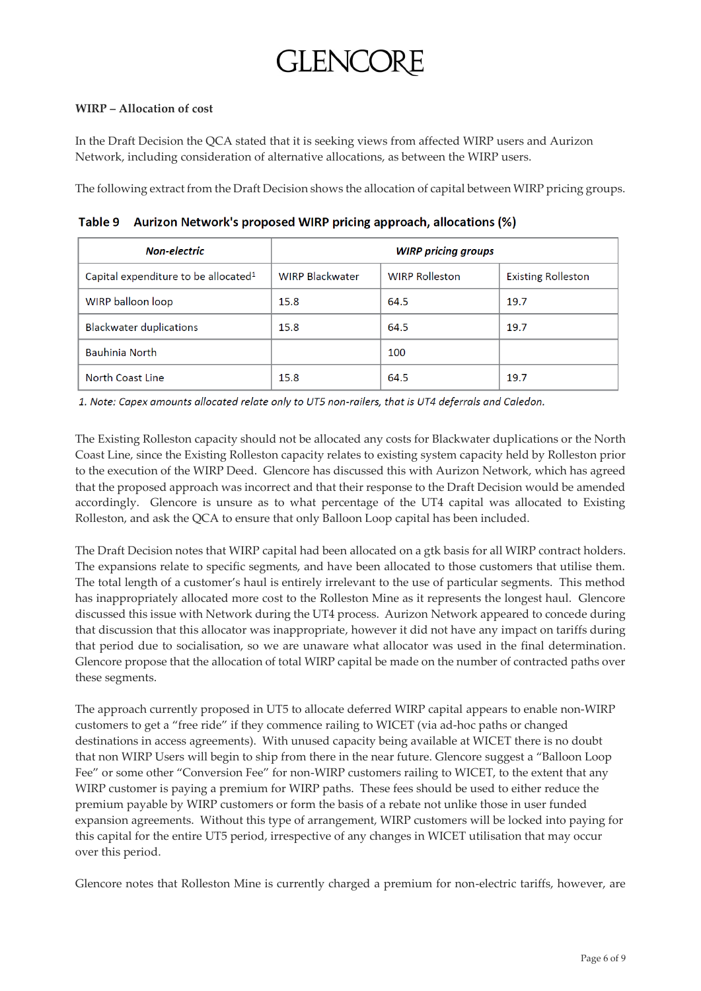#### **WIRP – Allocation of cost**

In the Draft Decision the QCA stated that it is seeking views from affected WIRP users and Aurizon Network, including consideration of alternative allocations, as between the WIRP users.

The following extract from the Draft Decision shows the allocation of capital between WIRP pricing groups.

Table 9 Aurizon Network's proposed WIRP pricing approach, allocations (%)

| <b>Non-electric</b>                              | <b>WIRP pricing groups</b> |                       |                           |
|--------------------------------------------------|----------------------------|-----------------------|---------------------------|
| Capital expenditure to be allocated <sup>1</sup> | <b>WIRP Blackwater</b>     | <b>WIRP Rolleston</b> | <b>Existing Rolleston</b> |
| WIRP balloon loop                                | 15.8                       | 64.5                  | 19.7                      |
| <b>Blackwater duplications</b>                   | 15.8                       | 64.5                  | 19.7                      |
| Bauhinia North                                   |                            | 100                   |                           |
| North Coast Line                                 | 15.8                       | 64.5                  | 19.7                      |

1. Note: Capex amounts allocated relate only to UT5 non-railers, that is UT4 deferrals and Caledon.

The Existing Rolleston capacity should not be allocated any costs for Blackwater duplications or the North Coast Line, since the Existing Rolleston capacity relates to existing system capacity held by Rolleston prior to the execution of the WIRP Deed. Glencore has discussed this with Aurizon Network, which has agreed that the proposed approach was incorrect and that their response to the Draft Decision would be amended accordingly. Glencore is unsure as to what percentage of the UT4 capital was allocated to Existing Rolleston, and ask the QCA to ensure that only Balloon Loop capital has been included.

The Draft Decision notes that WIRP capital had been allocated on a gtk basis for all WIRP contract holders. The expansions relate to specific segments, and have been allocated to those customers that utilise them. The total length of a customer's haul is entirely irrelevant to the use of particular segments. This method has inappropriately allocated more cost to the Rolleston Mine as it represents the longest haul. Glencore discussed this issue with Network during the UT4 process. Aurizon Network appeared to concede during that discussion that this allocator was inappropriate, however it did not have any impact on tariffs during that period due to socialisation, so we are unaware what allocator was used in the final determination. Glencore propose that the allocation of total WIRP capital be made on the number of contracted paths over these segments.

The approach currently proposed in UT5 to allocate deferred WIRP capital appears to enable non-WIRP customers to get a "free ride" if they commence railing to WICET (via ad-hoc paths or changed destinations in access agreements). With unused capacity being available at WICET there is no doubt that non WIRP Users will begin to ship from there in the near future. Glencore suggest a "Balloon Loop Fee" or some other "Conversion Fee" for non-WIRP customers railing to WICET, to the extent that any WIRP customer is paying a premium for WIRP paths. These fees should be used to either reduce the premium payable by WIRP customers or form the basis of a rebate not unlike those in user funded expansion agreements. Without this type of arrangement, WIRP customers will be locked into paying for this capital for the entire UT5 period, irrespective of any changes in WICET utilisation that may occur over this period.

Glencore notes that Rolleston Mine is currently charged a premium for non-electric tariffs, however, are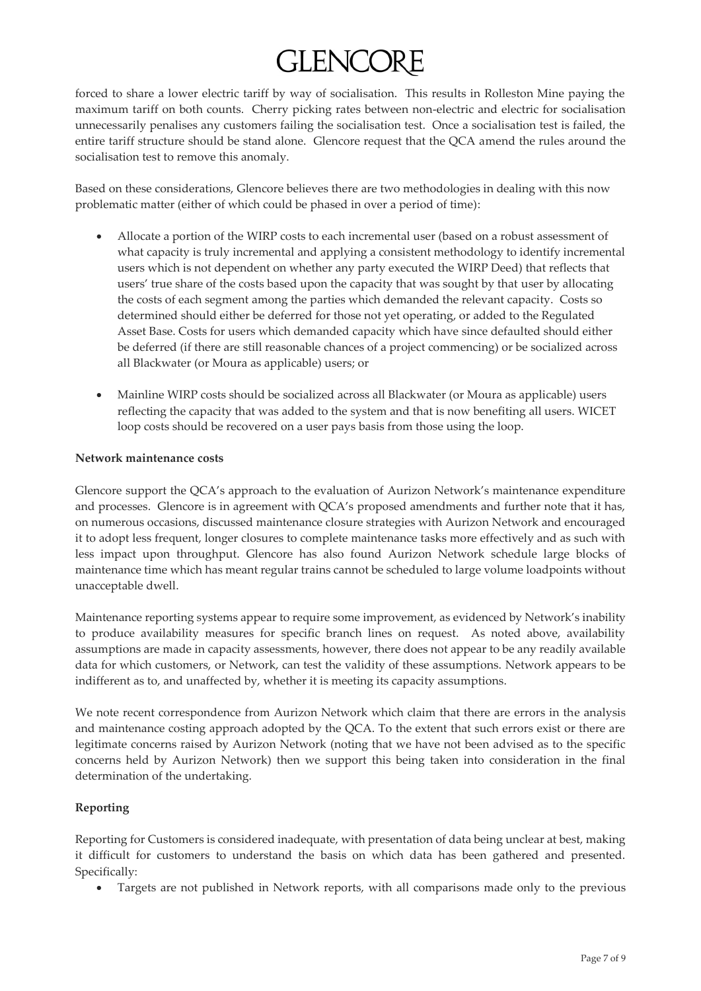forced to share a lower electric tariff by way of socialisation. This results in Rolleston Mine paying the maximum tariff on both counts. Cherry picking rates between non-electric and electric for socialisation unnecessarily penalises any customers failing the socialisation test. Once a socialisation test is failed, the entire tariff structure should be stand alone. Glencore request that the QCA amend the rules around the socialisation test to remove this anomaly.

Based on these considerations, Glencore believes there are two methodologies in dealing with this now problematic matter (either of which could be phased in over a period of time):

- Allocate a portion of the WIRP costs to each incremental user (based on a robust assessment of what capacity is truly incremental and applying a consistent methodology to identify incremental users which is not dependent on whether any party executed the WIRP Deed) that reflects that users' true share of the costs based upon the capacity that was sought by that user by allocating the costs of each segment among the parties which demanded the relevant capacity. Costs so determined should either be deferred for those not yet operating, or added to the Regulated Asset Base. Costs for users which demanded capacity which have since defaulted should either be deferred (if there are still reasonable chances of a project commencing) or be socialized across all Blackwater (or Moura as applicable) users; or
- Mainline WIRP costs should be socialized across all Blackwater (or Moura as applicable) users reflecting the capacity that was added to the system and that is now benefiting all users. WICET loop costs should be recovered on a user pays basis from those using the loop.

#### **Network maintenance costs**

Glencore support the QCA's approach to the evaluation of Aurizon Network's maintenance expenditure and processes. Glencore is in agreement with QCA's proposed amendments and further note that it has, on numerous occasions, discussed maintenance closure strategies with Aurizon Network and encouraged it to adopt less frequent, longer closures to complete maintenance tasks more effectively and as such with less impact upon throughput. Glencore has also found Aurizon Network schedule large blocks of maintenance time which has meant regular trains cannot be scheduled to large volume loadpoints without unacceptable dwell.

Maintenance reporting systems appear to require some improvement, as evidenced by Network's inability to produce availability measures for specific branch lines on request. As noted above, availability assumptions are made in capacity assessments, however, there does not appear to be any readily available data for which customers, or Network, can test the validity of these assumptions. Network appears to be indifferent as to, and unaffected by, whether it is meeting its capacity assumptions.

We note recent correspondence from Aurizon Network which claim that there are errors in the analysis and maintenance costing approach adopted by the QCA. To the extent that such errors exist or there are legitimate concerns raised by Aurizon Network (noting that we have not been advised as to the specific concerns held by Aurizon Network) then we support this being taken into consideration in the final determination of the undertaking.

#### **Reporting**

Reporting for Customers is considered inadequate, with presentation of data being unclear at best, making it difficult for customers to understand the basis on which data has been gathered and presented. Specifically:

Targets are not published in Network reports, with all comparisons made only to the previous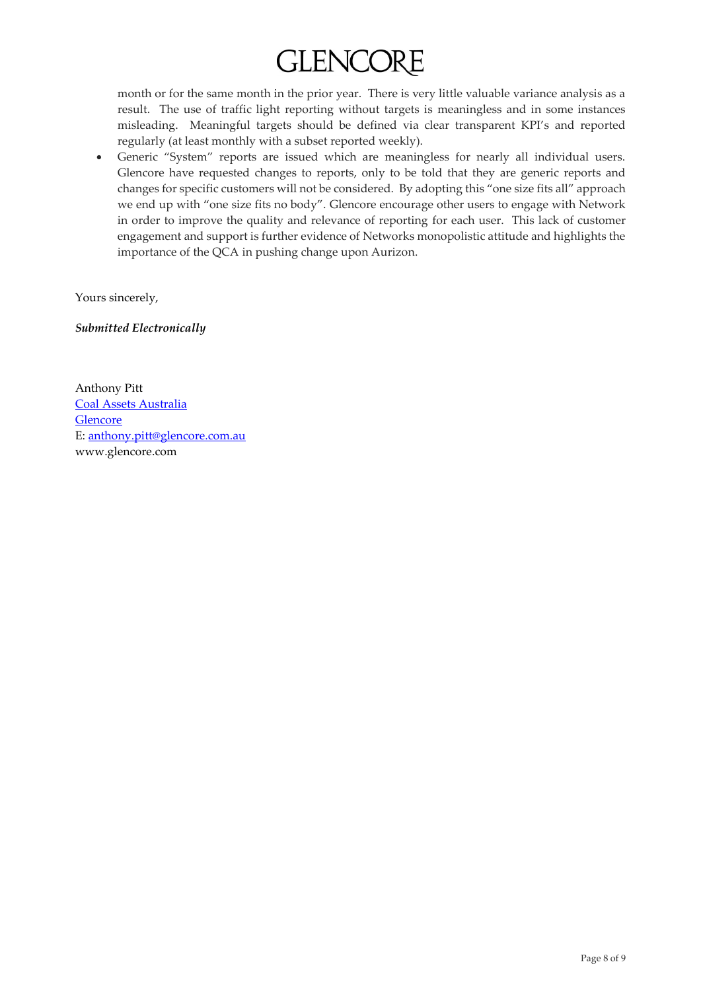month or for the same month in the prior year. There is very little valuable variance analysis as a result. The use of traffic light reporting without targets is meaningless and in some instances misleading. Meaningful targets should be defined via clear transparent KPI's and reported regularly (at least monthly with a subset reported weekly).

 Generic "System" reports are issued which are meaningless for nearly all individual users. Glencore have requested changes to reports, only to be told that they are generic reports and changes for specific customers will not be considered. By adopting this "one size fits all" approach we end up with "one size fits no body". Glencore encourage other users to engage with Network in order to improve the quality and relevance of reporting for each user. This lack of customer engagement and support is further evidence of Networks monopolistic attitude and highlights the importance of the QCA in pushing change upon Aurizon.

Yours sincerely,

*Submitted Electronically*

Anthony Pitt Coal Assets Australia Glencore E: [anthony.pitt@glencore.com.au](mailto:anthony.pitt@glencore.com.au) www.glencore.com